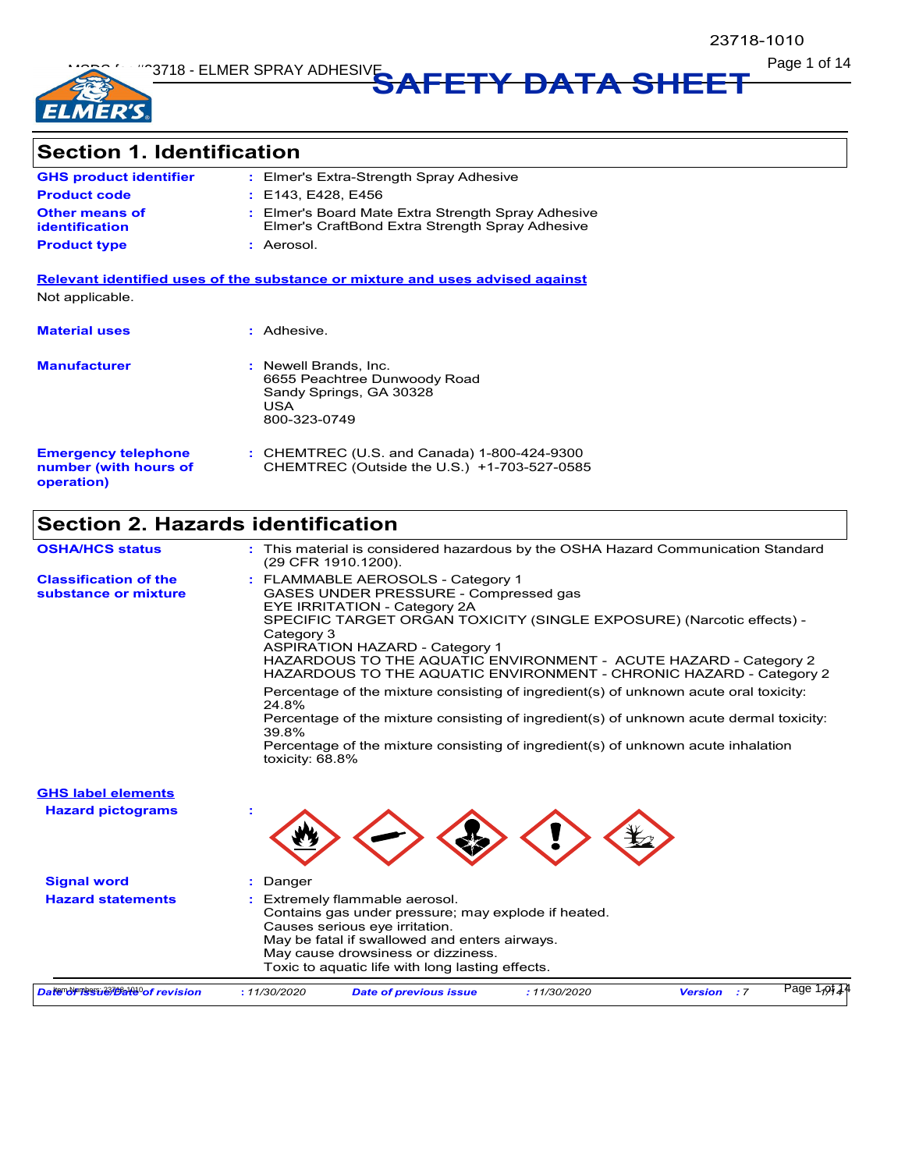

**Page 1 of 14** Page 1 of 14

# **Section 1. Identification**

| <b>GHS product identifier</b>           | : Elmer's Extra-Strength Spray Adhesive                                                               |
|-----------------------------------------|-------------------------------------------------------------------------------------------------------|
| <b>Product code</b>                     | : E143 E428 E456                                                                                      |
| <b>Other means of</b><br>identification | : Elmer's Board Mate Extra Strength Spray Adhesive<br>Elmer's CraftBond Extra Strength Spray Adhesive |
| <b>Product type</b>                     | : Aerosol.                                                                                            |

**Relevant identified uses of the substance or mixture and uses advised against** Not applicable.

| <b>Material uses</b>                                              | : Adhesive.                                                                                             |
|-------------------------------------------------------------------|---------------------------------------------------------------------------------------------------------|
| <b>Manufacturer</b>                                               | : Newell Brands, Inc.<br>6655 Peachtree Dunwoody Road<br>Sandy Springs, GA 30328<br>USA<br>800-323-0749 |
| <b>Emergency telephone</b><br>number (with hours of<br>operation) | : CHEMTREC (U.S. and Canada) 1-800-424-9300<br>CHEMTREC (Outside the U.S.) +1-703-527-0585              |

# **Section 2. Hazards identification**

| <b>OSHA/HCS status</b>                               | : This material is considered hazardous by the OSHA Hazard Communication Standard<br>(29 CFR 1910 1200).                                                                                                                                                                                                                                                                                                                                                                                                                                                                                                                                                                                           |
|------------------------------------------------------|----------------------------------------------------------------------------------------------------------------------------------------------------------------------------------------------------------------------------------------------------------------------------------------------------------------------------------------------------------------------------------------------------------------------------------------------------------------------------------------------------------------------------------------------------------------------------------------------------------------------------------------------------------------------------------------------------|
| <b>Classification of the</b><br>substance or mixture | : FLAMMABLE AEROSOLS - Category 1<br>GASES UNDER PRESSURE - Compressed gas<br>EYE IRRITATION - Category 2A<br>SPECIFIC TARGET ORGAN TOXICITY (SINGLE EXPOSURE) (Narcotic effects) -<br>Category 3<br><b>ASPIRATION HAZARD - Category 1</b><br>HAZARDOUS TO THE AQUATIC ENVIRONMENT - ACUTE HAZARD - Category 2<br>HAZARDOUS TO THE AQUATIC ENVIRONMENT - CHRONIC HAZARD - Category 2<br>Percentage of the mixture consisting of ingredient(s) of unknown acute oral toxicity:<br>24.8%<br>Percentage of the mixture consisting of ingredient(s) of unknown acute dermal toxicity:<br>39.8%<br>Percentage of the mixture consisting of ingredient(s) of unknown acute inhalation<br>toxicity: 68.8% |
| <b>GHS label elements</b>                            |                                                                                                                                                                                                                                                                                                                                                                                                                                                                                                                                                                                                                                                                                                    |
| <b>Hazard pictograms</b>                             |                                                                                                                                                                                                                                                                                                                                                                                                                                                                                                                                                                                                                                                                                                    |
| <b>Signal word</b>                                   | Danger                                                                                                                                                                                                                                                                                                                                                                                                                                                                                                                                                                                                                                                                                             |
| <b>Hazard statements</b>                             | Extremely flammable aerosol.<br>Contains gas under pressure; may explode if heated.<br>Causes serious eye irritation.<br>May be fatal if swallowed and enters airways.<br>May cause drowsiness or dizziness.<br>Toxic to aquatic life with long lasting effects.                                                                                                                                                                                                                                                                                                                                                                                                                                   |
| Date of revision                                     | Page $1,01.4$<br>: 11/30/2020<br><b>Date of previous issue</b><br>: 11/30/2020<br><b>Version</b><br>$\cdot$ 7                                                                                                                                                                                                                                                                                                                                                                                                                                                                                                                                                                                      |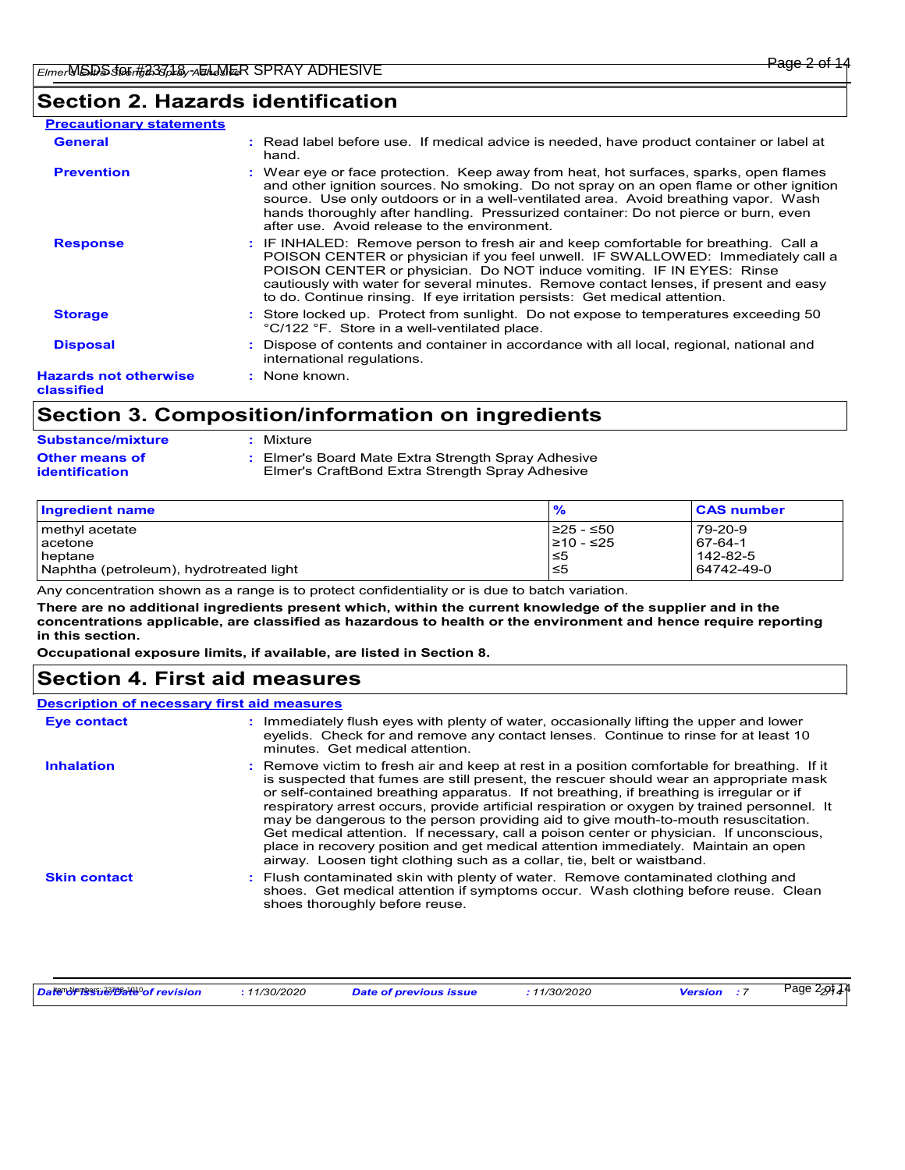# **Section 2. Hazards identification**

| <b>Precautionary statements</b>            |                                                                                                                                                                                                                                                                                                                                                                                                                         |
|--------------------------------------------|-------------------------------------------------------------------------------------------------------------------------------------------------------------------------------------------------------------------------------------------------------------------------------------------------------------------------------------------------------------------------------------------------------------------------|
| <b>General</b>                             | : Read label before use. If medical advice is needed, have product container or label at<br>hand.                                                                                                                                                                                                                                                                                                                       |
| <b>Prevention</b>                          | : Wear eye or face protection. Keep away from heat, hot surfaces, sparks, open flames<br>and other ignition sources. No smoking. Do not spray on an open flame or other ignition<br>source. Use only outdoors or in a well-ventilated area. Avoid breathing vapor. Wash<br>hands thoroughly after handling. Pressurized container: Do not pierce or burn, even<br>after use. Avoid release to the environment.          |
| <b>Response</b>                            | : IF INHALED: Remove person to fresh air and keep comfortable for breathing. Call a<br>POISON CENTER or physician if you feel unwell. IF SWALLOWED: Immediately call a<br>POISON CENTER or physician. Do NOT induce vomiting. IF IN EYES: Rinse<br>cautiously with water for several minutes. Remove contact lenses, if present and easy<br>to do. Continue rinsing. If eye irritation persists: Get medical attention. |
| <b>Storage</b>                             | : Store locked up. Protect from sunlight. Do not expose to temperatures exceeding 50<br>°C/122 °F. Store in a well-ventilated place.                                                                                                                                                                                                                                                                                    |
| <b>Disposal</b>                            | : Dispose of contents and container in accordance with all local, regional, national and<br>international regulations.                                                                                                                                                                                                                                                                                                  |
| <b>Hazards not otherwise</b><br>classified | : None known.                                                                                                                                                                                                                                                                                                                                                                                                           |

# **Section 3. Composition/information on ingredients**

| <b>Substance/mixture</b>                | : Mixture                                                                                             |
|-----------------------------------------|-------------------------------------------------------------------------------------------------------|
| <b>Other means of</b><br>identification | : Elmer's Board Mate Extra Strength Spray Adhesive<br>Elmer's CraftBond Extra Strength Spray Adhesive |

| Ingredient name                         | $\frac{9}{6}$ | <b>CAS number</b> |
|-----------------------------------------|---------------|-------------------|
| methyl acetate                          | 225 - ≤50     | 79-20-9           |
| <b>l</b> acetone                        | ≥10 - ≤25     | 67-64-1           |
| heptane                                 | ∣≤5           | 142-82-5          |
| Naphtha (petroleum), hydrotreated light | 5≥ا           | 64742-49-0        |

Any concentration shown as a range is to protect confidentiality or is due to batch variation.

**There are no additional ingredients present which, within the current knowledge of the supplier and in the concentrations applicable, are classified as hazardous to health or the environment and hence require reporting in this section.**

**Occupational exposure limits, if available, are listed in Section 8.**

## **Section 4. First aid measures**

| <b>Description of necessary first aid measures</b> |                                                                                                                                                                                                                                                                                                                                                                                                                                                                                                                                                                                                                                                                                                                                      |
|----------------------------------------------------|--------------------------------------------------------------------------------------------------------------------------------------------------------------------------------------------------------------------------------------------------------------------------------------------------------------------------------------------------------------------------------------------------------------------------------------------------------------------------------------------------------------------------------------------------------------------------------------------------------------------------------------------------------------------------------------------------------------------------------------|
| <b>Eye contact</b>                                 | : Immediately flush eyes with plenty of water, occasionally lifting the upper and lower<br>eyelids. Check for and remove any contact lenses. Continue to rinse for at least 10<br>minutes. Get medical attention.                                                                                                                                                                                                                                                                                                                                                                                                                                                                                                                    |
| <b>Inhalation</b>                                  | : Remove victim to fresh air and keep at rest in a position comfortable for breathing. If it<br>is suspected that fumes are still present, the rescuer should wear an appropriate mask<br>or self-contained breathing apparatus. If not breathing, if breathing is irregular or if<br>respiratory arrest occurs, provide artificial respiration or oxygen by trained personnel. It<br>may be dangerous to the person providing aid to give mouth-to-mouth resuscitation.<br>Get medical attention. If necessary, call a poison center or physician. If unconscious,<br>place in recovery position and get medical attention immediately. Maintain an open<br>airway. Loosen tight clothing such as a collar, tie, belt or waistband. |
| <b>Skin contact</b>                                | : Flush contaminated skin with plenty of water. Remove contaminated clothing and<br>shoes. Get medical attention if symptoms occur. Wash clothing before reuse. Clean<br>shoes thoroughly before reuse.                                                                                                                                                                                                                                                                                                                                                                                                                                                                                                                              |

| Date drives 270218 of revision<br>11/30/2020<br><b>Date of previous issue</b> | 1/30/2020 | Page :<br>Version | 22974 |
|-------------------------------------------------------------------------------|-----------|-------------------|-------|
|-------------------------------------------------------------------------------|-----------|-------------------|-------|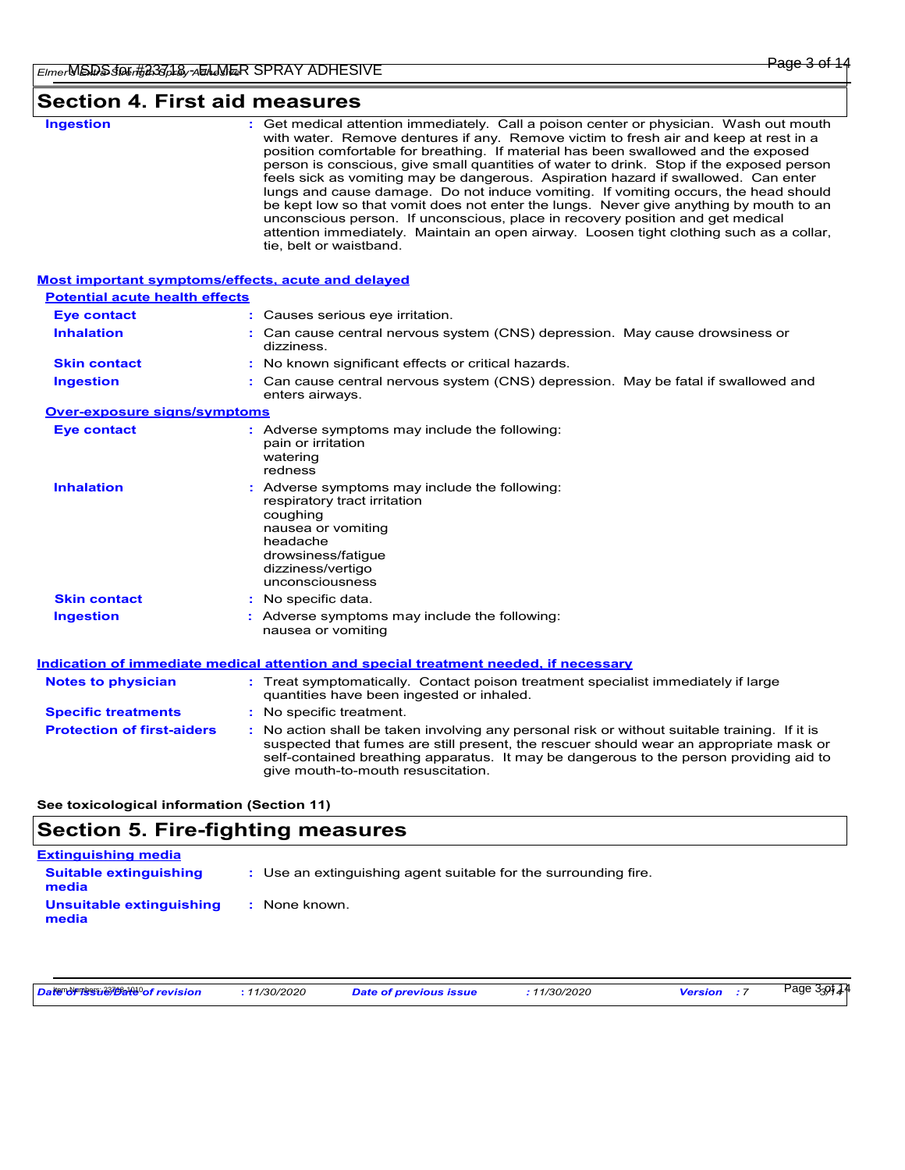# **Section 4. First aid measures**

| <b>Ingestion</b>                                          | : Get medical attention immediately. Call a poison center or physician. Wash out mouth<br>with water. Remove dentures if any. Remove victim to fresh air and keep at rest in a<br>position comfortable for breathing. If material has been swallowed and the exposed<br>person is conscious, give small quantities of water to drink. Stop if the exposed person<br>feels sick as vomiting may be dangerous. Aspiration hazard if swallowed. Can enter<br>lungs and cause damage. Do not induce vomiting. If vomiting occurs, the head should<br>be kept low so that vomit does not enter the lungs. Never give anything by mouth to an<br>unconscious person. If unconscious, place in recovery position and get medical<br>attention immediately. Maintain an open airway. Loosen tight clothing such as a collar,<br>tie, belt or waistband. |  |
|-----------------------------------------------------------|-------------------------------------------------------------------------------------------------------------------------------------------------------------------------------------------------------------------------------------------------------------------------------------------------------------------------------------------------------------------------------------------------------------------------------------------------------------------------------------------------------------------------------------------------------------------------------------------------------------------------------------------------------------------------------------------------------------------------------------------------------------------------------------------------------------------------------------------------|--|
| <b>Most important symptoms/effects, acute and delayed</b> |                                                                                                                                                                                                                                                                                                                                                                                                                                                                                                                                                                                                                                                                                                                                                                                                                                                 |  |
| <b>Potential acute health effects</b>                     |                                                                                                                                                                                                                                                                                                                                                                                                                                                                                                                                                                                                                                                                                                                                                                                                                                                 |  |
| <b>Eye contact</b>                                        | : Causes serious eye irritation.                                                                                                                                                                                                                                                                                                                                                                                                                                                                                                                                                                                                                                                                                                                                                                                                                |  |
| <b>Inhalation</b>                                         | : Can cause central nervous system (CNS) depression. May cause drowsiness or<br>dizziness.                                                                                                                                                                                                                                                                                                                                                                                                                                                                                                                                                                                                                                                                                                                                                      |  |
| <b>Skin contact</b>                                       | : No known significant effects or critical hazards.                                                                                                                                                                                                                                                                                                                                                                                                                                                                                                                                                                                                                                                                                                                                                                                             |  |
| <b>Ingestion</b>                                          | : Can cause central nervous system (CNS) depression. May be fatal if swallowed and<br>enters airways.                                                                                                                                                                                                                                                                                                                                                                                                                                                                                                                                                                                                                                                                                                                                           |  |
| <b>Over-exposure signs/symptoms</b>                       |                                                                                                                                                                                                                                                                                                                                                                                                                                                                                                                                                                                                                                                                                                                                                                                                                                                 |  |
| <b>Eye contact</b>                                        | : Adverse symptoms may include the following:<br>pain or irritation<br>watering<br>redness                                                                                                                                                                                                                                                                                                                                                                                                                                                                                                                                                                                                                                                                                                                                                      |  |
| <b>Inhalation</b>                                         | : Adverse symptoms may include the following:<br>respiratory tract irritation<br>coughing<br>nausea or vomiting<br>headache<br>drowsiness/fatigue<br>dizziness/vertigo<br>unconsciousness                                                                                                                                                                                                                                                                                                                                                                                                                                                                                                                                                                                                                                                       |  |
| <b>Skin contact</b>                                       | : No specific data.                                                                                                                                                                                                                                                                                                                                                                                                                                                                                                                                                                                                                                                                                                                                                                                                                             |  |
| <b>Ingestion</b>                                          | : Adverse symptoms may include the following:<br>nausea or vomiting                                                                                                                                                                                                                                                                                                                                                                                                                                                                                                                                                                                                                                                                                                                                                                             |  |
|                                                           | Indication of immediate medical attention and special treatment needed, if necessary                                                                                                                                                                                                                                                                                                                                                                                                                                                                                                                                                                                                                                                                                                                                                            |  |
| <b>Notes to physician</b>                                 | : Treat symptomatically. Contact poison treatment specialist immediately if large<br>quantities have been ingested or inhaled.                                                                                                                                                                                                                                                                                                                                                                                                                                                                                                                                                                                                                                                                                                                  |  |
| <b>Specific treatments</b>                                | : No specific treatment.                                                                                                                                                                                                                                                                                                                                                                                                                                                                                                                                                                                                                                                                                                                                                                                                                        |  |
| <b>Protection of first-aiders</b>                         | No action shall be taken involving any personal risk or without suitable training. If it is<br>suspected that fumes are still present, the rescuer should wear an appropriate mask or<br>self-contained breathing apparatus. It may be dangerous to the person providing aid to<br>give mouth-to-mouth resuscitation.                                                                                                                                                                                                                                                                                                                                                                                                                                                                                                                           |  |

**See toxicological information (Section 11)**

# **Section 5. Fire-fighting measures**

| <b>Extinguishing media</b>             |                                                                 |
|----------------------------------------|-----------------------------------------------------------------|
| <b>Suitable extinguishing</b><br>media | : Use an extinguishing agent suitable for the surrounding fire. |
| Unsuitable extinguishing<br>media      | : None known.                                                   |

| Date of revision | .11/30/2020 | <b>Date of previous issue</b> | 11/30/2020 | Version | Page 3 <sub>3</sub> 9144 |  |
|------------------|-------------|-------------------------------|------------|---------|--------------------------|--|
|------------------|-------------|-------------------------------|------------|---------|--------------------------|--|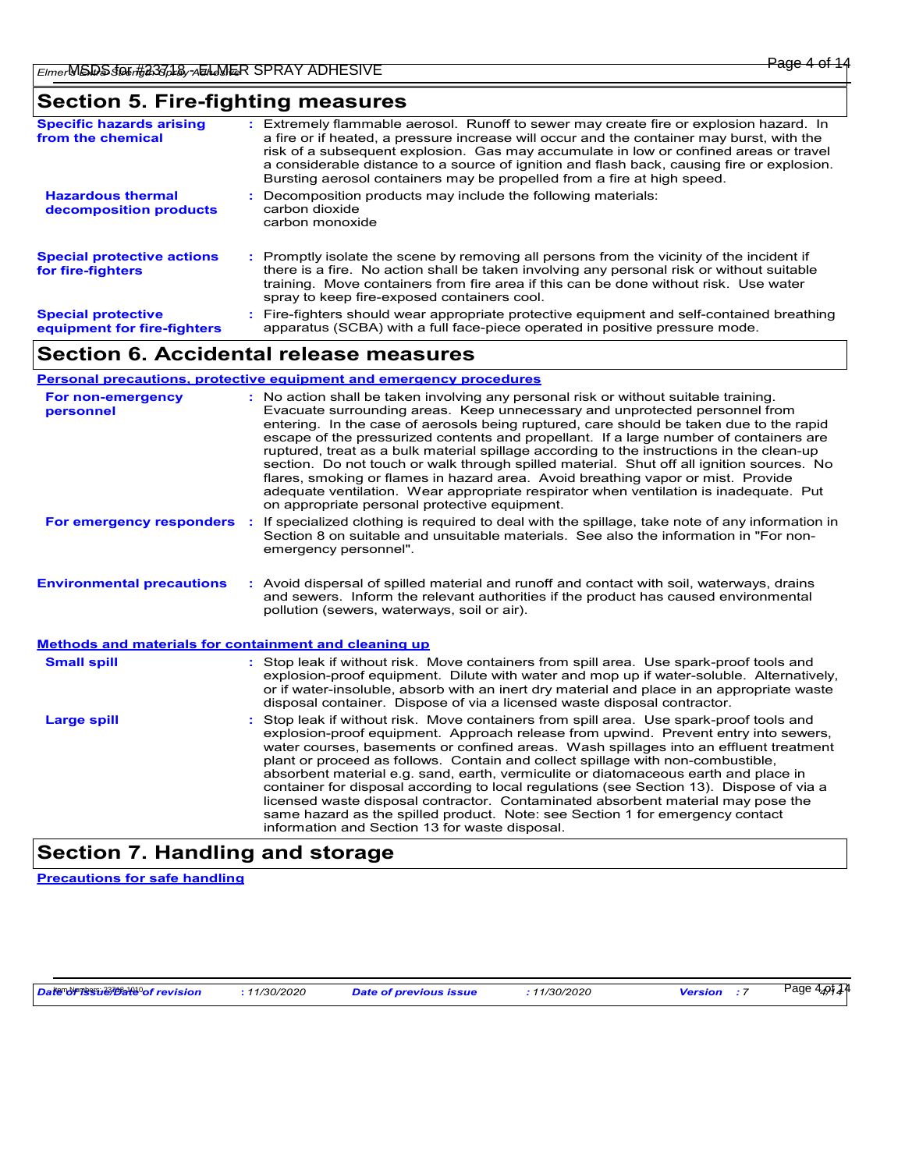# **Section 5. Fire-fighting measures**

| <b>Special protective</b><br>equipment for fire-fighters | spray to keep fire-exposed containers cool.<br>: Fire-fighters should wear appropriate protective equipment and self-contained breathing<br>apparatus (SCBA) with a full face-piece operated in positive pressure mode.                                                                                                                                                                                                                             |
|----------------------------------------------------------|-----------------------------------------------------------------------------------------------------------------------------------------------------------------------------------------------------------------------------------------------------------------------------------------------------------------------------------------------------------------------------------------------------------------------------------------------------|
| <b>Special protective actions</b><br>for fire-fighters   | Promptly isolate the scene by removing all persons from the vicinity of the incident if<br>there is a fire. No action shall be taken involving any personal risk or without suitable<br>training. Move containers from fire area if this can be done without risk. Use water                                                                                                                                                                        |
| <b>Hazardous thermal</b><br>decomposition products       | Decomposition products may include the following materials:<br>carbon dioxide<br>carbon monoxide                                                                                                                                                                                                                                                                                                                                                    |
| <b>Specific hazards arising</b><br>from the chemical     | Extremely flammable aerosol. Runoff to sewer may create fire or explosion hazard. In<br>a fire or if heated, a pressure increase will occur and the container may burst, with the<br>risk of a subsequent explosion. Gas may accumulate in low or confined areas or travel<br>a considerable distance to a source of ignition and flash back, causing fire or explosion.<br>Bursting aerosol containers may be propelled from a fire at high speed. |

### **Section 6. Accidental release measures**

**Personal precautions, protective equipment and emergency procedures**

| For non-emergency<br>personnel                        |    | : No action shall be taken involving any personal risk or without suitable training.<br>Evacuate surrounding areas. Keep unnecessary and unprotected personnel from<br>entering. In the case of aerosols being ruptured, care should be taken due to the rapid<br>escape of the pressurized contents and propellant. If a large number of containers are<br>ruptured, treat as a bulk material spillage according to the instructions in the clean-up<br>section. Do not touch or walk through spilled material. Shut off all ignition sources. No<br>flares, smoking or flames in hazard area. Avoid breathing vapor or mist. Provide<br>adequate ventilation. Wear appropriate respirator when ventilation is inadequate. Put<br>on appropriate personal protective equipment. |
|-------------------------------------------------------|----|----------------------------------------------------------------------------------------------------------------------------------------------------------------------------------------------------------------------------------------------------------------------------------------------------------------------------------------------------------------------------------------------------------------------------------------------------------------------------------------------------------------------------------------------------------------------------------------------------------------------------------------------------------------------------------------------------------------------------------------------------------------------------------|
| For emergency responders                              | ÷. | If specialized clothing is required to deal with the spillage, take note of any information in<br>Section 8 on suitable and unsuitable materials. See also the information in "For non-<br>emergency personnel".                                                                                                                                                                                                                                                                                                                                                                                                                                                                                                                                                                 |
| <b>Environmental precautions</b>                      |    | : Avoid dispersal of spilled material and runoff and contact with soil, waterways, drains<br>and sewers. Inform the relevant authorities if the product has caused environmental<br>pollution (sewers, waterways, soil or air).                                                                                                                                                                                                                                                                                                                                                                                                                                                                                                                                                  |
| Methods and materials for containment and cleaning up |    |                                                                                                                                                                                                                                                                                                                                                                                                                                                                                                                                                                                                                                                                                                                                                                                  |
| <b>Small spill</b>                                    |    | : Stop leak if without risk. Move containers from spill area. Use spark-proof tools and<br>explosion-proof equipment. Dilute with water and mop up if water-soluble. Alternatively,<br>or if water-insoluble, absorb with an inert dry material and place in an appropriate waste<br>disposal container. Dispose of via a licensed waste disposal contractor.                                                                                                                                                                                                                                                                                                                                                                                                                    |
| <b>Large spill</b>                                    |    | : Stop leak if without risk. Move containers from spill area. Use spark-proof tools and<br>explosion-proof equipment. Approach release from upwind. Prevent entry into sewers,<br>water courses, basements or confined areas. Wash spillages into an effluent treatment<br>plant or proceed as follows. Contain and collect spillage with non-combustible,<br>absorbent material e.g. sand, earth, vermiculite or diatomaceous earth and place in<br>container for disposal according to local regulations (see Section 13). Dispose of via a<br>licensed waste disposal contractor. Contaminated absorbent material may pose the<br>same hazard as the spilled product. Note: see Section 1 for emergency contact<br>information and Section 13 for waste disposal.             |

# **Section 7. Handling and storage**

**Precautions for safe handling**

*Date of issue/Date of revision* **:** *11/30/2020 Date of previous issue : 11/30/2020 Version : 7 4/14* Item Numbers: 23718-1010 Page 4 of 14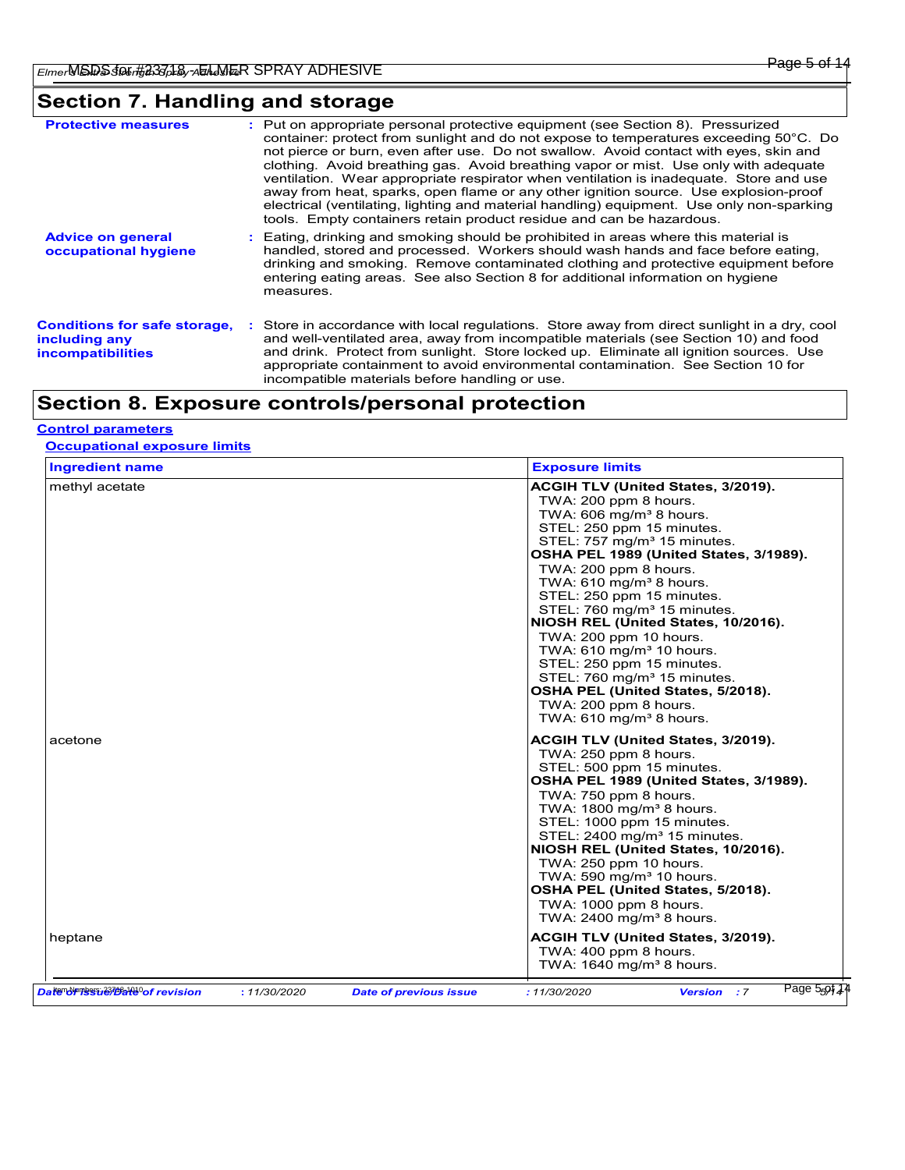# **Section 7. Handling and storage**

| <b>Protective measures</b>                                                       | : Put on appropriate personal protective equipment (see Section 8). Pressurized<br>container: protect from sunlight and do not expose to temperatures exceeding 50°C. Do<br>not pierce or burn, even after use. Do not swallow. Avoid contact with eyes, skin and<br>clothing. Avoid breathing gas. Avoid breathing vapor or mist. Use only with adequate<br>ventilation. Wear appropriate respirator when ventilation is inadequate. Store and use<br>away from heat, sparks, open flame or any other ignition source. Use explosion-proof<br>electrical (ventilating, lighting and material handling) equipment. Use only non-sparking<br>tools. Empty containers retain product residue and can be hazardous. |
|----------------------------------------------------------------------------------|------------------------------------------------------------------------------------------------------------------------------------------------------------------------------------------------------------------------------------------------------------------------------------------------------------------------------------------------------------------------------------------------------------------------------------------------------------------------------------------------------------------------------------------------------------------------------------------------------------------------------------------------------------------------------------------------------------------|
| <b>Advice on general</b><br>occupational hygiene                                 | : Eating, drinking and smoking should be prohibited in areas where this material is<br>handled, stored and processed. Workers should wash hands and face before eating,<br>drinking and smoking. Remove contaminated clothing and protective equipment before<br>entering eating areas. See also Section 8 for additional information on hygiene<br>measures.                                                                                                                                                                                                                                                                                                                                                    |
| <b>Conditions for safe storage,</b><br>including any<br><b>incompatibilities</b> | : Store in accordance with local regulations. Store away from direct sunlight in a dry, cool<br>and well-ventilated area, away from incompatible materials (see Section 10) and food<br>and drink. Protect from sunlight. Store locked up. Eliminate all ignition sources. Use<br>appropriate containment to avoid environmental contamination. See Section 10 for<br>incompatible materials before handling or use.                                                                                                                                                                                                                                                                                             |

# **Section 8. Exposure controls/personal protection**

#### **Control parameters**

**Occupational exposure limits**

| <b>Ingredient name</b> |  | <b>Exposure limits</b>                                                                                                                                                                                                                                                                                                                                                                                                                                                                                                                                                                                                                              |
|------------------------|--|-----------------------------------------------------------------------------------------------------------------------------------------------------------------------------------------------------------------------------------------------------------------------------------------------------------------------------------------------------------------------------------------------------------------------------------------------------------------------------------------------------------------------------------------------------------------------------------------------------------------------------------------------------|
| methyl acetate         |  | ACGIH TLV (United States, 3/2019).<br>TWA: 200 ppm 8 hours.<br>TWA: 606 mg/m <sup>3</sup> 8 hours.<br>STEL: 250 ppm 15 minutes.<br>STEL: 757 mg/m <sup>3</sup> 15 minutes.<br>OSHA PEL 1989 (United States, 3/1989).<br>TWA: 200 ppm 8 hours.<br>TWA: $610$ mg/m <sup>3</sup> 8 hours.<br>STEL: 250 ppm 15 minutes.<br>STEL: 760 mg/m <sup>3</sup> 15 minutes.<br>NIOSH REL (United States, 10/2016).<br>TWA: 200 ppm 10 hours.<br>TWA: $610 \text{ mg/m}^3$ 10 hours.<br>STEL: 250 ppm 15 minutes.<br>STEL: 760 mg/m <sup>3</sup> 15 minutes.<br>OSHA PEL (United States, 5/2018).<br>TWA: 200 ppm 8 hours.<br>TWA: 610 mg/m <sup>3</sup> 8 hours. |
| acetone                |  | ACGIH TLV (United States, 3/2019).<br>TWA: 250 ppm 8 hours.<br>STEL: 500 ppm 15 minutes.<br>OSHA PEL 1989 (United States, 3/1989).<br>TWA: 750 ppm 8 hours.<br>TWA: $1800 \text{ mg/m}^3$ 8 hours.<br>STEL: 1000 ppm 15 minutes.<br>STEL: $2400 \text{ mg/m}^3$ 15 minutes.<br>NIOSH REL (United States, 10/2016).<br>TWA: 250 ppm 10 hours.<br>TWA: 590 mg/m $3$ 10 hours.<br>OSHA PEL (United States, 5/2018).<br>TWA: 1000 ppm 8 hours.<br>TWA: $2400 \text{ mg/m}^3$ 8 hours.                                                                                                                                                                   |
| heptane                |  | ACGIH TLV (United States, 3/2019).<br>TWA: 400 ppm 8 hours.<br>TWA: 1640 mg/m <sup>3</sup> 8 hours.                                                                                                                                                                                                                                                                                                                                                                                                                                                                                                                                                 |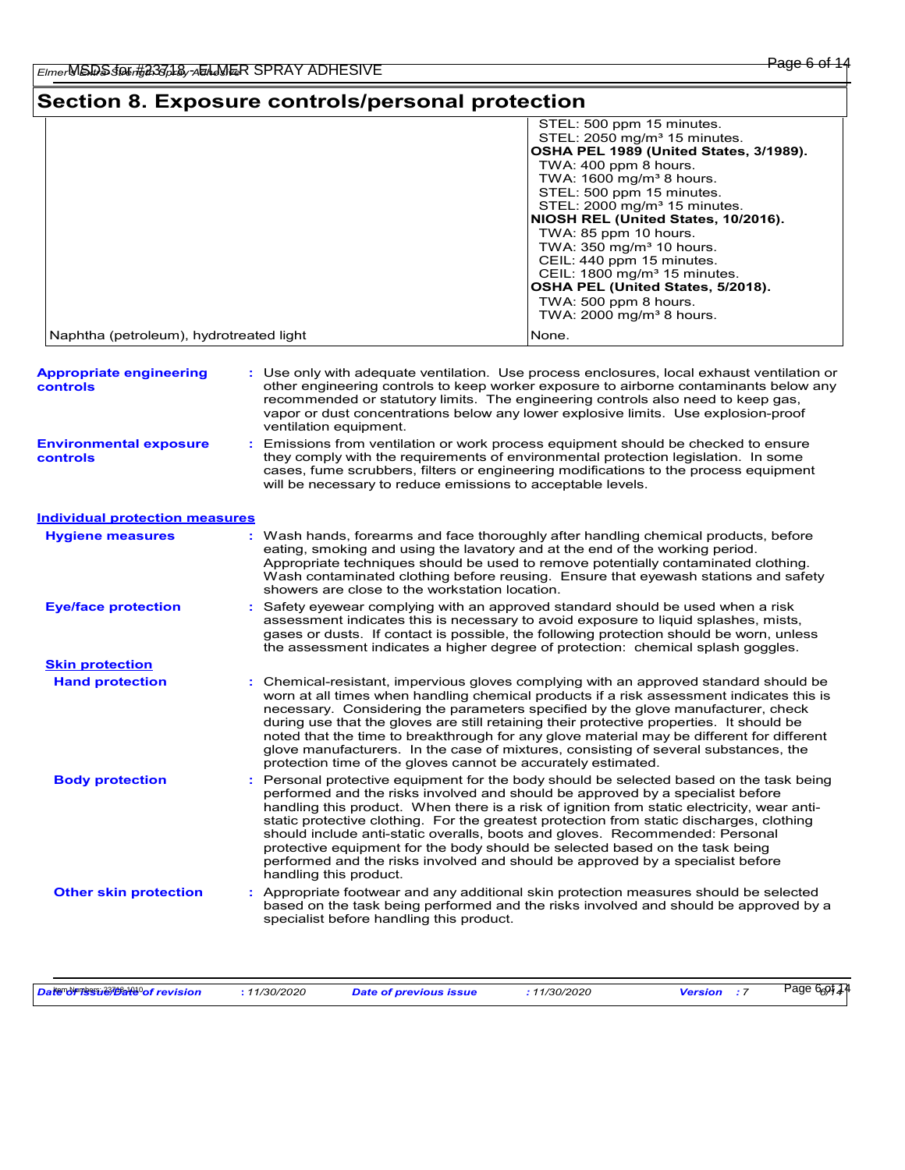# **Section 8. Exposure controls/personal protection**

| STEL: 500 ppm 15 minutes.                |
|------------------------------------------|
| STEL: 2050 mg/m <sup>3</sup> 15 minutes. |
| OSHA PEL 1989 (United States, 3/1989).   |
| TWA: 400 ppm 8 hours.                    |
| TWA: $1600 \text{ mg/m}^3$ 8 hours.      |
| STEL: 500 ppm 15 minutes.                |
| STEL: $2000 \text{ mg/m}^3$ 15 minutes.  |
| NIOSH REL (United States, 10/2016).      |
| TWA: 85 ppm 10 hours.                    |
| TWA: $350 \text{ mg/m}^3$ 10 hours.      |
| CEIL: 440 ppm 15 minutes.                |
| CEIL: $1800 \text{ mg/m}^3$ 15 minutes.  |
| OSHA PEL (United States, 5/2018).        |
| TWA: 500 ppm 8 hours.                    |
| TWA: $2000 \text{ mg/m}^3$ 8 hours.      |
| None.                                    |
|                                          |

| <b>Appropriate engineering</b><br>controls                                                                                                                                                                                                                                                                                                                                                                                                                                                                                                                                                                                                                               | : Use only with adequate ventilation. Use process enclosures, local exhaust ventilation or<br>other engineering controls to keep worker exposure to airborne contaminants below any<br>recommended or statutory limits. The engineering controls also need to keep gas,<br>vapor or dust concentrations below any lower explosive limits. Use explosion-proof<br>ventilation equipment.<br>Emissions from ventilation or work process equipment should be checked to ensure<br>they comply with the requirements of environmental protection legislation. In some<br>cases, fume scrubbers, filters or engineering modifications to the process equipment<br>will be necessary to reduce emissions to acceptable levels. |  |  |  |  |
|--------------------------------------------------------------------------------------------------------------------------------------------------------------------------------------------------------------------------------------------------------------------------------------------------------------------------------------------------------------------------------------------------------------------------------------------------------------------------------------------------------------------------------------------------------------------------------------------------------------------------------------------------------------------------|--------------------------------------------------------------------------------------------------------------------------------------------------------------------------------------------------------------------------------------------------------------------------------------------------------------------------------------------------------------------------------------------------------------------------------------------------------------------------------------------------------------------------------------------------------------------------------------------------------------------------------------------------------------------------------------------------------------------------|--|--|--|--|
| <b>Environmental exposure</b><br><b>controls</b>                                                                                                                                                                                                                                                                                                                                                                                                                                                                                                                                                                                                                         |                                                                                                                                                                                                                                                                                                                                                                                                                                                                                                                                                                                                                                                                                                                          |  |  |  |  |
| <b>Individual protection measures</b>                                                                                                                                                                                                                                                                                                                                                                                                                                                                                                                                                                                                                                    |                                                                                                                                                                                                                                                                                                                                                                                                                                                                                                                                                                                                                                                                                                                          |  |  |  |  |
| <b>Hygiene measures</b>                                                                                                                                                                                                                                                                                                                                                                                                                                                                                                                                                                                                                                                  | : Wash hands, forearms and face thoroughly after handling chemical products, before<br>eating, smoking and using the lavatory and at the end of the working period.<br>Appropriate techniques should be used to remove potentially contaminated clothing.<br>Wash contaminated clothing before reusing. Ensure that eyewash stations and safety<br>showers are close to the workstation location.                                                                                                                                                                                                                                                                                                                        |  |  |  |  |
| <b>Eye/face protection</b>                                                                                                                                                                                                                                                                                                                                                                                                                                                                                                                                                                                                                                               | Safety eyewear complying with an approved standard should be used when a risk<br>assessment indicates this is necessary to avoid exposure to liquid splashes, mists,<br>gases or dusts. If contact is possible, the following protection should be worn, unless<br>the assessment indicates a higher degree of protection: chemical splash goggles.                                                                                                                                                                                                                                                                                                                                                                      |  |  |  |  |
| <b>Skin protection</b>                                                                                                                                                                                                                                                                                                                                                                                                                                                                                                                                                                                                                                                   |                                                                                                                                                                                                                                                                                                                                                                                                                                                                                                                                                                                                                                                                                                                          |  |  |  |  |
| <b>Hand protection</b>                                                                                                                                                                                                                                                                                                                                                                                                                                                                                                                                                                                                                                                   | Chemical-resistant, impervious gloves complying with an approved standard should be<br>worn at all times when handling chemical products if a risk assessment indicates this is<br>necessary. Considering the parameters specified by the glove manufacturer, check<br>during use that the gloves are still retaining their protective properties. It should be<br>noted that the time to breakthrough for any glove material may be different for different<br>glove manufacturers. In the case of mixtures, consisting of several substances, the<br>protection time of the gloves cannot be accurately estimated.                                                                                                     |  |  |  |  |
| <b>Body protection</b><br>Personal protective equipment for the body should be selected based on the task being<br>performed and the risks involved and should be approved by a specialist before<br>handling this product. When there is a risk of ignition from static electricity, wear anti-<br>static protective clothing. For the greatest protection from static discharges, clothing<br>should include anti-static overalls, boots and gloves. Recommended: Personal<br>protective equipment for the body should be selected based on the task being<br>performed and the risks involved and should be approved by a specialist before<br>handling this product. |                                                                                                                                                                                                                                                                                                                                                                                                                                                                                                                                                                                                                                                                                                                          |  |  |  |  |
| <b>Other skin protection</b>                                                                                                                                                                                                                                                                                                                                                                                                                                                                                                                                                                                                                                             | : Appropriate footwear and any additional skin protection measures should be selected<br>based on the task being performed and the risks involved and should be approved by a<br>specialist before handling this product.                                                                                                                                                                                                                                                                                                                                                                                                                                                                                                |  |  |  |  |

| Date of revision<br>11/30/2020<br>Date of previous issue | 11/30/2020<br><b>Version</b> | Page 66914 |
|----------------------------------------------------------|------------------------------|------------|
|----------------------------------------------------------|------------------------------|------------|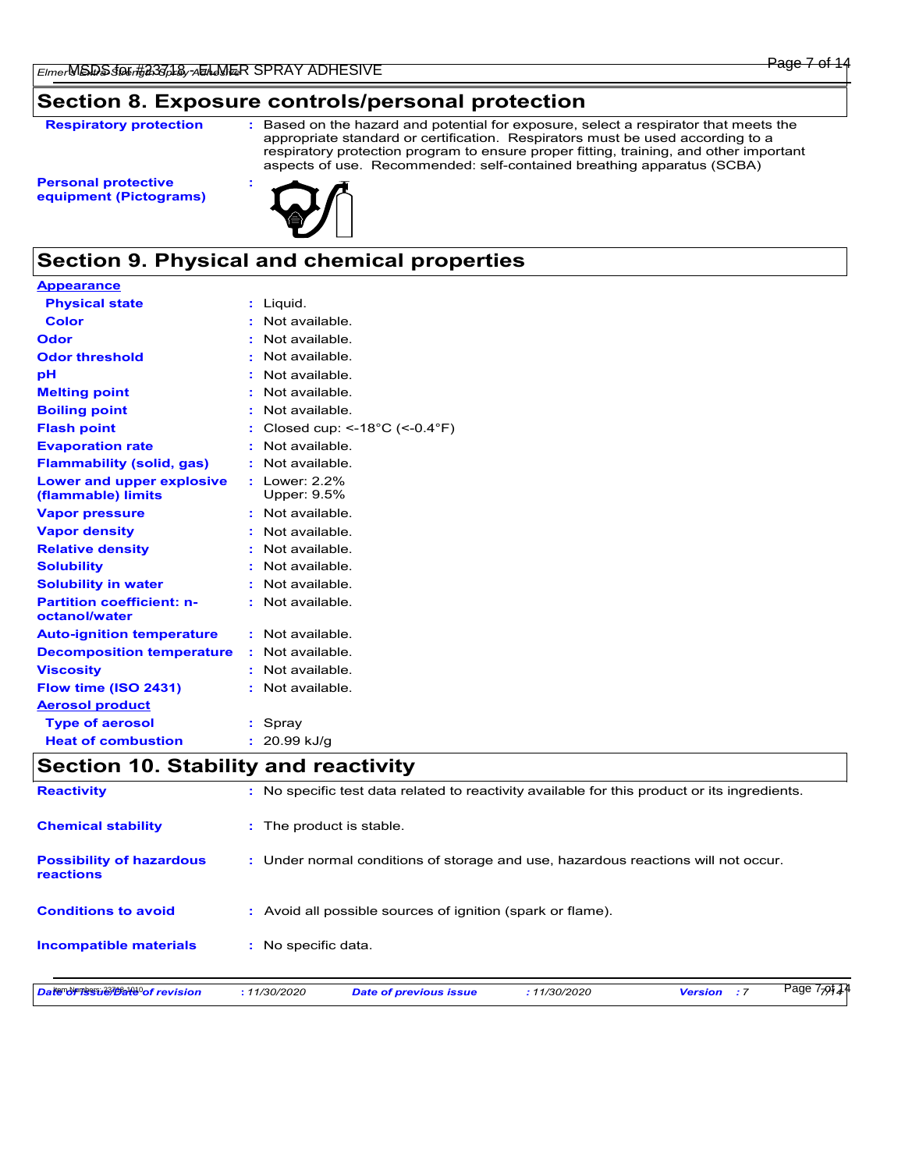### **Section 8. Exposure controls/personal protection**

**Respiratory protection :**

Based on the hazard and potential for exposure, select a respirator that meets the appropriate standard or certification. Respirators must be used according to a respiratory protection program to ensure proper fitting, training, and other important aspects of use. Recommended: self-contained breathing apparatus (SCBA)

**Personal protective equipment (Pictograms)**



# **Section 9. Physical and chemical properties**

| <b>Appearance</b>                                 |    |                                                    |
|---------------------------------------------------|----|----------------------------------------------------|
| <b>Physical state</b>                             |    | : Liguid.                                          |
| Color                                             |    | Not available                                      |
| Odor                                              |    | : Not available.                                   |
| <b>Odor threshold</b>                             |    | Not available.                                     |
| рH                                                |    | Not available.                                     |
| <b>Melting point</b>                              |    | Not available.                                     |
| <b>Boiling point</b>                              |    | Not available.                                     |
| <b>Flash point</b>                                |    | Closed cup: <- $18^{\circ}$ C (<- $0.4^{\circ}$ F) |
| <b>Evaporation rate</b>                           |    | Not available.                                     |
| <b>Flammability (solid, gas)</b>                  | t. | Not available                                      |
| Lower and upper explosive<br>(flammable) limits   |    | : Lower: 2.2%<br>Upper: 9.5%                       |
| <b>Vapor pressure</b>                             |    | : Not available.                                   |
| <b>Vapor density</b>                              |    | : Not available.                                   |
| <b>Relative density</b>                           |    | Not available.                                     |
| <b>Solubility</b>                                 |    | Not available.                                     |
| <b>Solubility in water</b>                        |    | Not available.                                     |
| <b>Partition coefficient: n-</b><br>octanol/water |    | : Not available.                                   |
| <b>Auto-ignition temperature</b>                  |    | : Not available.                                   |
| <b>Decomposition temperature</b>                  |    | : Not available.                                   |
| <b>Viscosity</b>                                  |    | Not available.                                     |
| Flow time (ISO 2431)                              |    | Not available.                                     |
| <b>Aerosol product</b>                            |    |                                                    |
| <b>Type of aerosol</b>                            |    | Spray                                              |
| <b>Heat of combustion</b>                         |    | 20.99 kJ/g                                         |

# **Section 10. Stability and reactivity**

| Datendriessie bate of revision                      | : 11/30/2020                                                                                 | <b>Date of previous issue</b>                                                     | :11/30/2020 | : 7<br><b>Version</b> | Page 7-of 1 |  |  |  |  |
|-----------------------------------------------------|----------------------------------------------------------------------------------------------|-----------------------------------------------------------------------------------|-------------|-----------------------|-------------|--|--|--|--|
| <b>Incompatible materials</b>                       | : No specific data.                                                                          |                                                                                   |             |                       |             |  |  |  |  |
| <b>Conditions to avoid</b>                          |                                                                                              | : Avoid all possible sources of ignition (spark or flame).                        |             |                       |             |  |  |  |  |
| <b>Possibility of hazardous</b><br><b>reactions</b> |                                                                                              | : Under normal conditions of storage and use, hazardous reactions will not occur. |             |                       |             |  |  |  |  |
| <b>Chemical stability</b>                           |                                                                                              | : The product is stable.                                                          |             |                       |             |  |  |  |  |
| <b>Reactivity</b>                                   | : No specific test data related to reactivity available for this product or its ingredients. |                                                                                   |             |                       |             |  |  |  |  |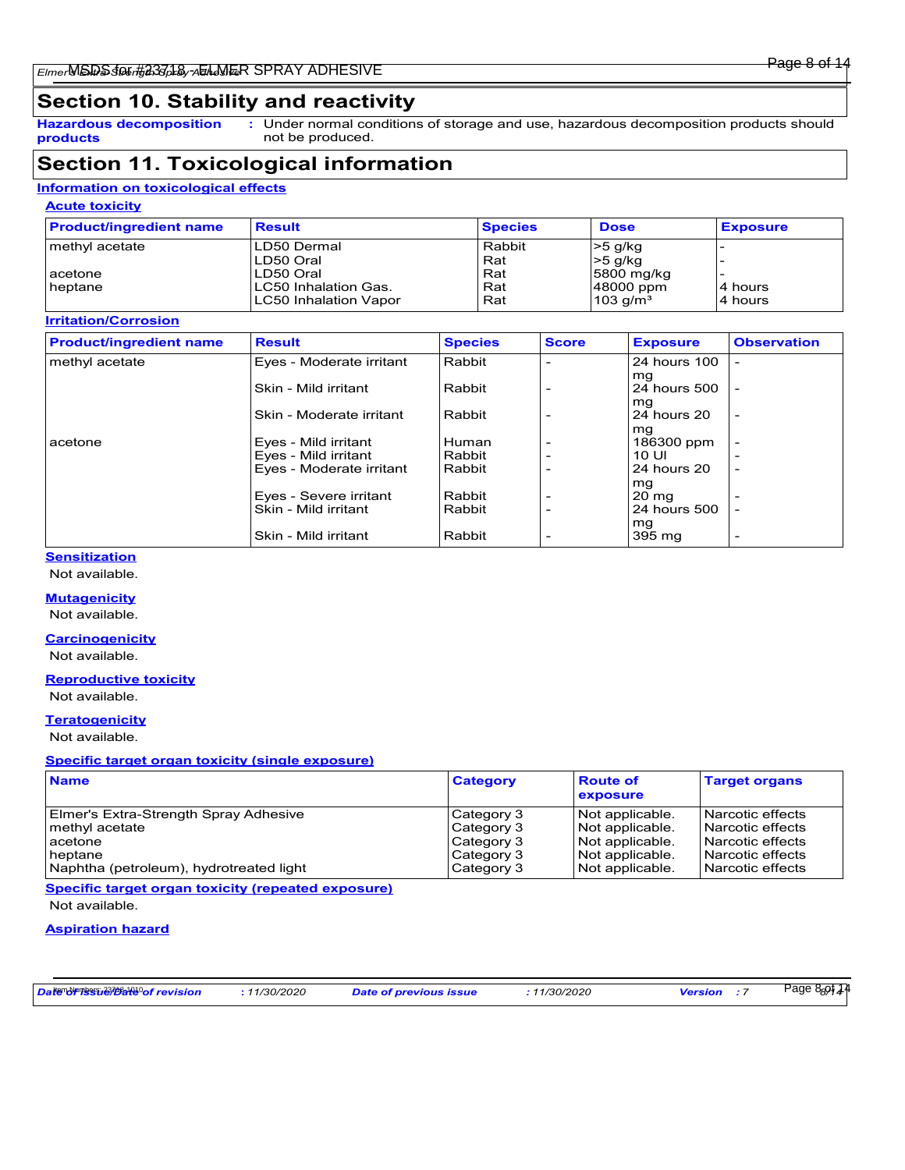# **Section 10. Stability and reactivity**

**Hazardous decomposition products**

Under normal conditions of storage and use, hazardous decomposition products should **:** not be produced.

## **Section 11. Toxicological information**

#### **Information on toxicological effects**

#### **Acute toxicity**

| <b>Product/ingredient name</b> | <b>Result</b>                | <b>Species</b> | <b>Dose</b>            | <b>Exposure</b> |
|--------------------------------|------------------------------|----------------|------------------------|-----------------|
| methyl acetate                 | LD50 Dermal                  | Rabbit         | $>5$ g/kg              |                 |
|                                | LD50 Oral                    | Rat            | $>5$ g/kg              |                 |
| acetone                        | LD50 Oral                    | Rat            | 5800 mg/kg             |                 |
| heptane                        | LC50 Inhalation Gas.         | Rat            | 48000 ppm              | 4 hours         |
|                                | <b>LC50 Inhalation Vapor</b> | Rat            | $103$ g/m <sup>3</sup> | 4 hours         |

#### **Irritation/Corrosion**

| <b>Product/ingredient name</b> | <b>Result</b>            | <b>Species</b> | <b>Score</b> | <b>Exposure</b>       | <b>Observation</b>       |
|--------------------------------|--------------------------|----------------|--------------|-----------------------|--------------------------|
| methyl acetate                 | Eyes - Moderate irritant | Rabbit         |              | 24 hours 100          |                          |
|                                | Skin - Mild irritant     | Rabbit         |              | mg<br>24 hours 500    |                          |
|                                | Skin - Moderate irritant | Rabbit         |              | mg<br>24 hours 20     | $\overline{a}$           |
| acetone                        | Eyes - Mild irritant     | Human          |              | mg<br>186300 ppm      |                          |
|                                | Eyes - Mild irritant     | Rabbit         |              | 10 UI                 |                          |
|                                | Eyes - Moderate irritant | Rabbit         |              | 24 hours 20           | $\overline{\phantom{0}}$ |
|                                | Eyes - Severe irritant   | Rabbit         |              | mg<br>$20 \text{ mg}$ |                          |
|                                | Skin - Mild irritant     | Rabbit         |              | 24 hours 500          |                          |
|                                | Skin - Mild irritant     | Rabbit         |              | mg<br>395 mg          | $\overline{\phantom{0}}$ |

#### **Sensitization**

Not available.

#### **Mutagenicity**

Not available.

#### **Carcinogenicity**

Not available.

#### **Reproductive toxicity**

Not available.

#### **Teratogenicity**

Not available.

#### **Specific target organ toxicity (single exposure)**

| <b>Name</b>                             | <b>Category</b> | <b>Route of</b><br>exposure | <b>Target organs</b> |
|-----------------------------------------|-----------------|-----------------------------|----------------------|
| Elmer's Extra-Strength Spray Adhesive   | Category 3      | Not applicable.             | l Narcotic effects   |
| methyl acetate                          | Category 3      | Not applicable.             | Narcotic effects     |
| acetone                                 | Category 3      | Not applicable.             | l Narcotic effects   |
| heptane                                 | Category 3      | Not applicable.             | l Narcotic effects   |
| Naphtha (petroleum), hydrotreated light | Category 3      | Not applicable.             | l Narcotic effects   |

**Specific target organ toxicity (repeated exposure)** Not available.

#### **Aspiration hazard**

| Date of messue that the crision | 11/30/2020 | <b>Date of previous issue</b> | 11/30/2020 | <b>Version</b> | Page 8 <sub>8</sub> 91 <sub>4</sub> 4 |  |
|---------------------------------|------------|-------------------------------|------------|----------------|---------------------------------------|--|
|---------------------------------|------------|-------------------------------|------------|----------------|---------------------------------------|--|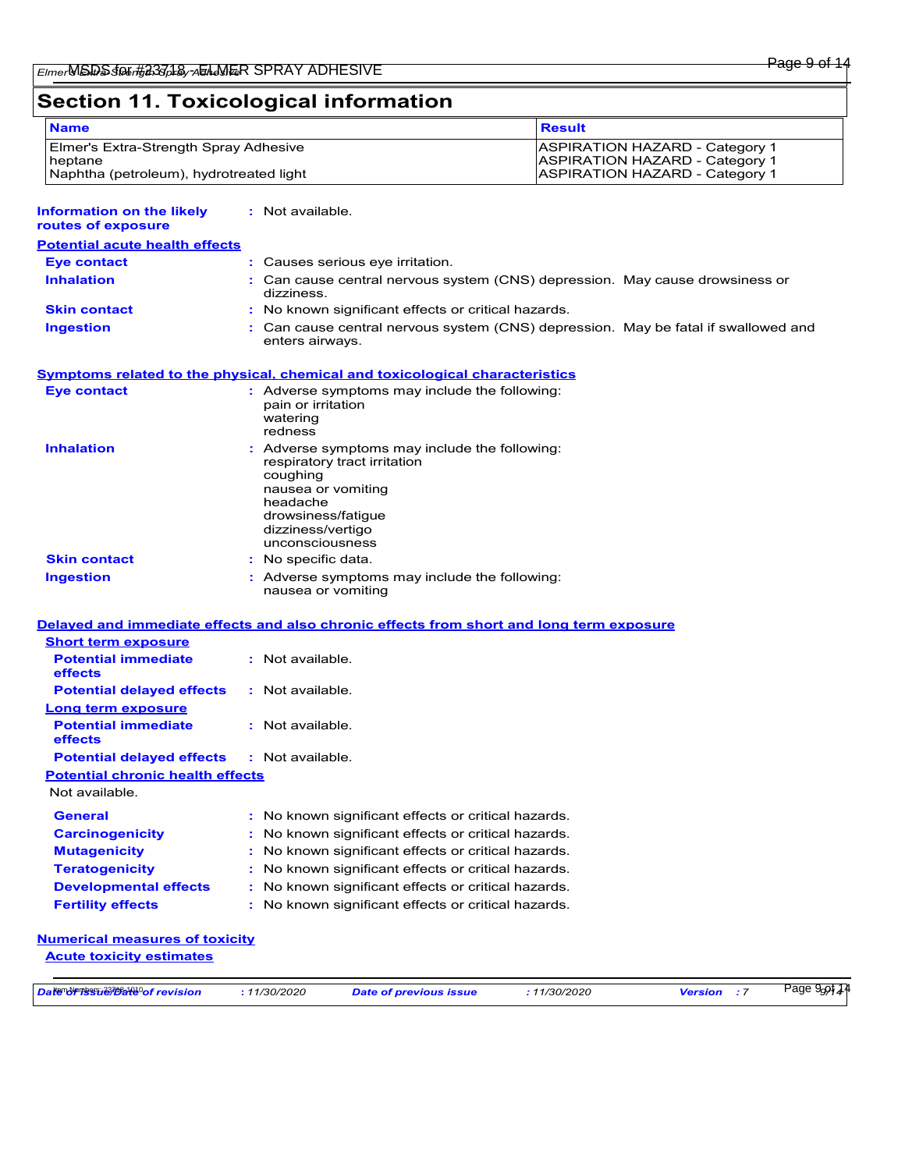# **Section 11. Toxicological information**

| <b>Name</b>                                                              |                                                                                                                                                                                         | <b>Result</b>                                                                      |  |  |  |
|--------------------------------------------------------------------------|-----------------------------------------------------------------------------------------------------------------------------------------------------------------------------------------|------------------------------------------------------------------------------------|--|--|--|
| Elmer's Extra-Strength Spray Adhesive                                    |                                                                                                                                                                                         | ASPIRATION HAZARD - Category 1                                                     |  |  |  |
| heptane<br>Naphtha (petroleum), hydrotreated light                       |                                                                                                                                                                                         | <b>ASPIRATION HAZARD - Category 1</b><br><b>ASPIRATION HAZARD - Category 1</b>     |  |  |  |
|                                                                          |                                                                                                                                                                                         |                                                                                    |  |  |  |
| <b>Information on the likely</b><br>routes of exposure                   | : Not available.                                                                                                                                                                        |                                                                                    |  |  |  |
| <b>Potential acute health effects</b>                                    |                                                                                                                                                                                         |                                                                                    |  |  |  |
| <b>Eve contact</b>                                                       | : Causes serious eye irritation.                                                                                                                                                        |                                                                                    |  |  |  |
| <b>Inhalation</b>                                                        | dizziness.                                                                                                                                                                              | Can cause central nervous system (CNS) depression. May cause drowsiness or         |  |  |  |
| <b>Skin contact</b>                                                      | No known significant effects or critical hazards.                                                                                                                                       |                                                                                    |  |  |  |
| <b>Ingestion</b>                                                         | enters airways.                                                                                                                                                                         | : Can cause central nervous system (CNS) depression. May be fatal if swallowed and |  |  |  |
|                                                                          | <b>Symptoms related to the physical, chemical and toxicological characteristics</b>                                                                                                     |                                                                                    |  |  |  |
| <b>Eye contact</b>                                                       | : Adverse symptoms may include the following:<br>pain or irritation<br>watering<br>redness                                                                                              |                                                                                    |  |  |  |
| <b>Inhalation</b>                                                        | Adverse symptoms may include the following:<br>respiratory tract irritation<br>coughing<br>nausea or vomiting<br>headache<br>drowsiness/fatigue<br>dizziness/vertigo<br>unconsciousness |                                                                                    |  |  |  |
| <b>Skin contact</b>                                                      | No specific data.                                                                                                                                                                       |                                                                                    |  |  |  |
| <b>Ingestion</b>                                                         | Adverse symptoms may include the following:<br>nausea or vomiting                                                                                                                       |                                                                                    |  |  |  |
|                                                                          | Delayed and immediate effects and also chronic effects from short and long term exposure                                                                                                |                                                                                    |  |  |  |
| <b>Short term exposure</b>                                               |                                                                                                                                                                                         |                                                                                    |  |  |  |
| <b>Potential immediate</b><br>effects                                    | : Not available.                                                                                                                                                                        |                                                                                    |  |  |  |
| <b>Potential delayed effects</b>                                         | : Not available.                                                                                                                                                                        |                                                                                    |  |  |  |
| Long term exposure<br><b>Potential immediate</b>                         | : Not available.                                                                                                                                                                        |                                                                                    |  |  |  |
| effects                                                                  |                                                                                                                                                                                         |                                                                                    |  |  |  |
| <b>Potential delayed effects</b>                                         | : Not available.                                                                                                                                                                        |                                                                                    |  |  |  |
| <b>Potential chronic health effects</b>                                  |                                                                                                                                                                                         |                                                                                    |  |  |  |
| Not available.                                                           |                                                                                                                                                                                         |                                                                                    |  |  |  |
| <b>General</b>                                                           | No known significant effects or critical hazards.                                                                                                                                       |                                                                                    |  |  |  |
| <b>Carcinogenicity</b>                                                   | No known significant effects or critical hazards.                                                                                                                                       |                                                                                    |  |  |  |
| <b>Mutagenicity</b>                                                      | No known significant effects or critical hazards.                                                                                                                                       |                                                                                    |  |  |  |
| <b>Teratogenicity</b>                                                    | No known significant effects or critical hazards.                                                                                                                                       |                                                                                    |  |  |  |
| <b>Developmental effects</b>                                             | No known significant effects or critical hazards.                                                                                                                                       |                                                                                    |  |  |  |
| <b>Fertility effects</b>                                                 | No known significant effects or critical hazards.                                                                                                                                       |                                                                                    |  |  |  |
| <b>Numerical measures of toxicity</b><br><b>Acute toxicity estimates</b> |                                                                                                                                                                                         |                                                                                    |  |  |  |

| Daten Number 270218 of revision | 11/30/2020 | <b>Date of previous issue</b> | 1/30/2020 | Jersion | Page 9 <sub>9</sub> 914 |
|---------------------------------|------------|-------------------------------|-----------|---------|-------------------------|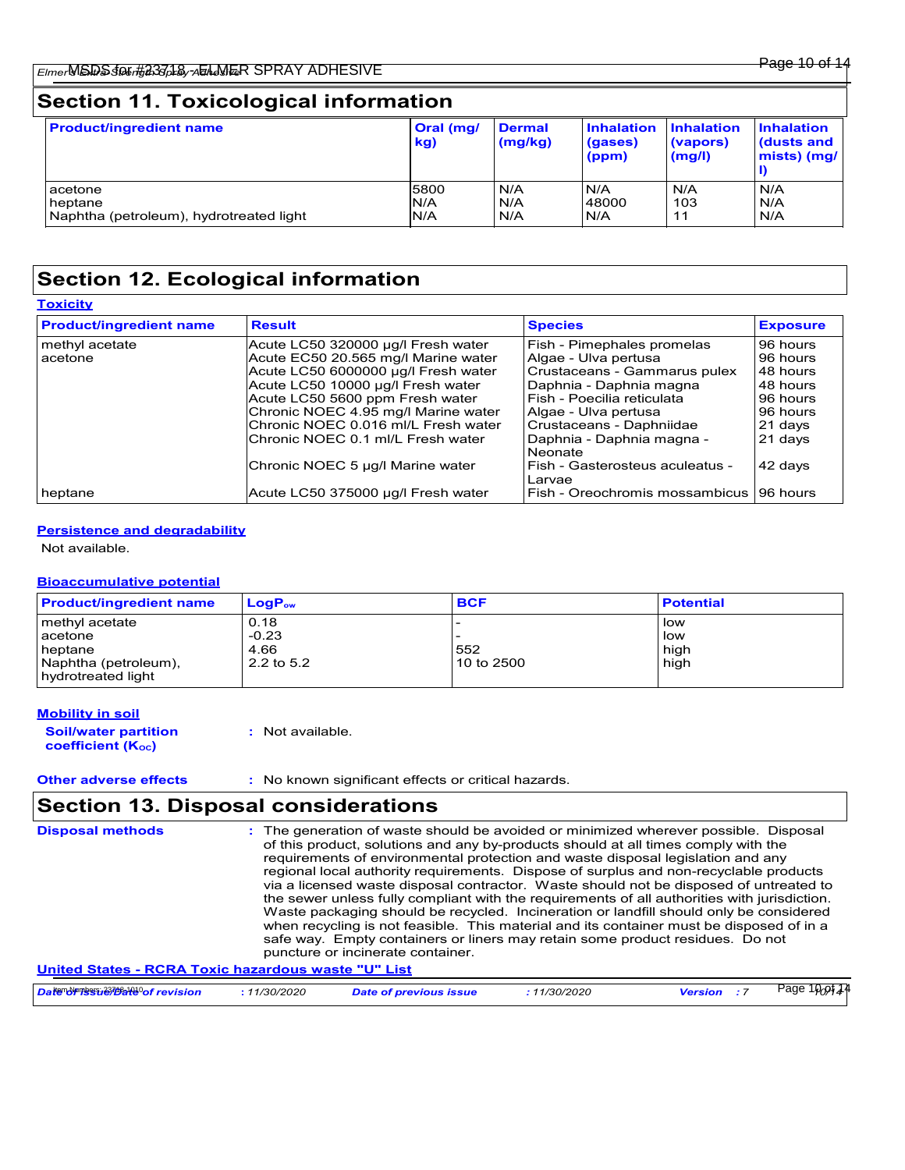# **Section 11. Toxicological information**

| <b>Product/ingredient name</b>          | Oral (mg/<br>kg) | <b>Dermal</b><br>(mg/kg) | <b>Inhalation</b><br>(gases)<br>(ppm) | <b>Inhalation</b><br>(vapors)<br>(mg/l) | <b>Inhalation</b><br>dusts and<br>mists) (mg/ |
|-----------------------------------------|------------------|--------------------------|---------------------------------------|-----------------------------------------|-----------------------------------------------|
| acetone                                 | 5800             | N/A                      | N/A                                   | N/A                                     | N/A                                           |
| heptane                                 | N/A              | N/A                      | 48000                                 | 103                                     | N/A                                           |
| Naphtha (petroleum), hydrotreated light | IN/A             | N/A                      | N/A                                   | 11                                      | N/A                                           |

# **Section 12. Ecological information**

| <b>Toxicity</b>                |                                     |                                           |                 |
|--------------------------------|-------------------------------------|-------------------------------------------|-----------------|
| <b>Product/ingredient name</b> | <b>Result</b>                       | <b>Species</b>                            | <b>Exposure</b> |
| methyl acetate                 | Acute LC50 320000 µg/l Fresh water  | Fish - Pimephales promelas                | 96 hours        |
| acetone                        | Acute EC50 20.565 mg/l Marine water | Algae - Ulva pertusa                      | 96 hours        |
|                                | Acute LC50 6000000 µg/l Fresh water | Crustaceans - Gammarus pulex              | 48 hours        |
|                                | Acute LC50 10000 µg/l Fresh water   | Daphnia - Daphnia magna                   | 48 hours        |
|                                | Acute LC50 5600 ppm Fresh water     | l Fish - Poecilia reticulata              | 96 hours        |
|                                | Chronic NOEC 4.95 mg/l Marine water | Algae - Ulva pertusa                      | 96 hours        |
|                                | Chronic NOEC 0.016 ml/L Fresh water | Crustaceans - Daphniidae                  | 21 days         |
|                                | Chronic NOEC 0.1 ml/L Fresh water   | Daphnia - Daphnia magna -<br>Neonate      | 21 days         |
|                                | Chronic NOEC 5 µg/l Marine water    | Fish - Gasterosteus aculeatus -<br>Larvae | 42 days         |
| heptane                        | Acute LC50 375000 µg/l Fresh water  | Fish - Oreochromis mossambicus            | 96 hours        |

#### **Persistence and degradability**

Not available.

#### **Bioaccumulative potential**

| <b>Product/ingredient name</b>             | $LoaPow$   | <b>BCF</b> | <b>Potential</b> |
|--------------------------------------------|------------|------------|------------------|
| methyl acetate                             | 0.18       |            | low              |
| acetone                                    | $-0.23$    |            | low              |
| <b>I</b> heptane                           | 4.66       | 552        | high             |
| Naphtha (petroleum),<br>hydrotreated light | 2.2 to 5.2 | 10 to 2500 | high             |

#### **Mobility in soil**

**Soil/water partition coefficient (KOC)**

**:** Not available.

**Other adverse effects** : No known significant effects or critical hazards.

# **Section 13. Disposal considerations**

| <b>Disposal methods</b> | : The generation of waste should be avoided or minimized wherever possible. Disposal<br>of this product, solutions and any by-products should at all times comply with the<br>requirements of environmental protection and waste disposal legislation and any<br>regional local authority requirements. Dispose of surplus and non-recyclable products<br>via a licensed waste disposal contractor. Waste should not be disposed of untreated to<br>the sewer unless fully compliant with the requirements of all authorities with jurisdiction.<br>Waste packaging should be recycled. Incineration or landfill should only be considered<br>when recycling is not feasible. This material and its container must be disposed of in a<br>safe way. Empty containers or liners may retain some product residues. Do not<br>puncture or incinerate container.<br>United States - RCRA Toxic hazardous waste "U" List |                               |             |                    |                            |  |
|-------------------------|---------------------------------------------------------------------------------------------------------------------------------------------------------------------------------------------------------------------------------------------------------------------------------------------------------------------------------------------------------------------------------------------------------------------------------------------------------------------------------------------------------------------------------------------------------------------------------------------------------------------------------------------------------------------------------------------------------------------------------------------------------------------------------------------------------------------------------------------------------------------------------------------------------------------|-------------------------------|-------------|--------------------|----------------------------|--|
|                         |                                                                                                                                                                                                                                                                                                                                                                                                                                                                                                                                                                                                                                                                                                                                                                                                                                                                                                                     |                               |             |                    |                            |  |
| Date of revision        | : 11/30/2020                                                                                                                                                                                                                                                                                                                                                                                                                                                                                                                                                                                                                                                                                                                                                                                                                                                                                                        | <b>Date of previous issue</b> | :11/30/2020 | <b>Version</b> : 7 | Page 10 <sub>0</sub> pt 14 |  |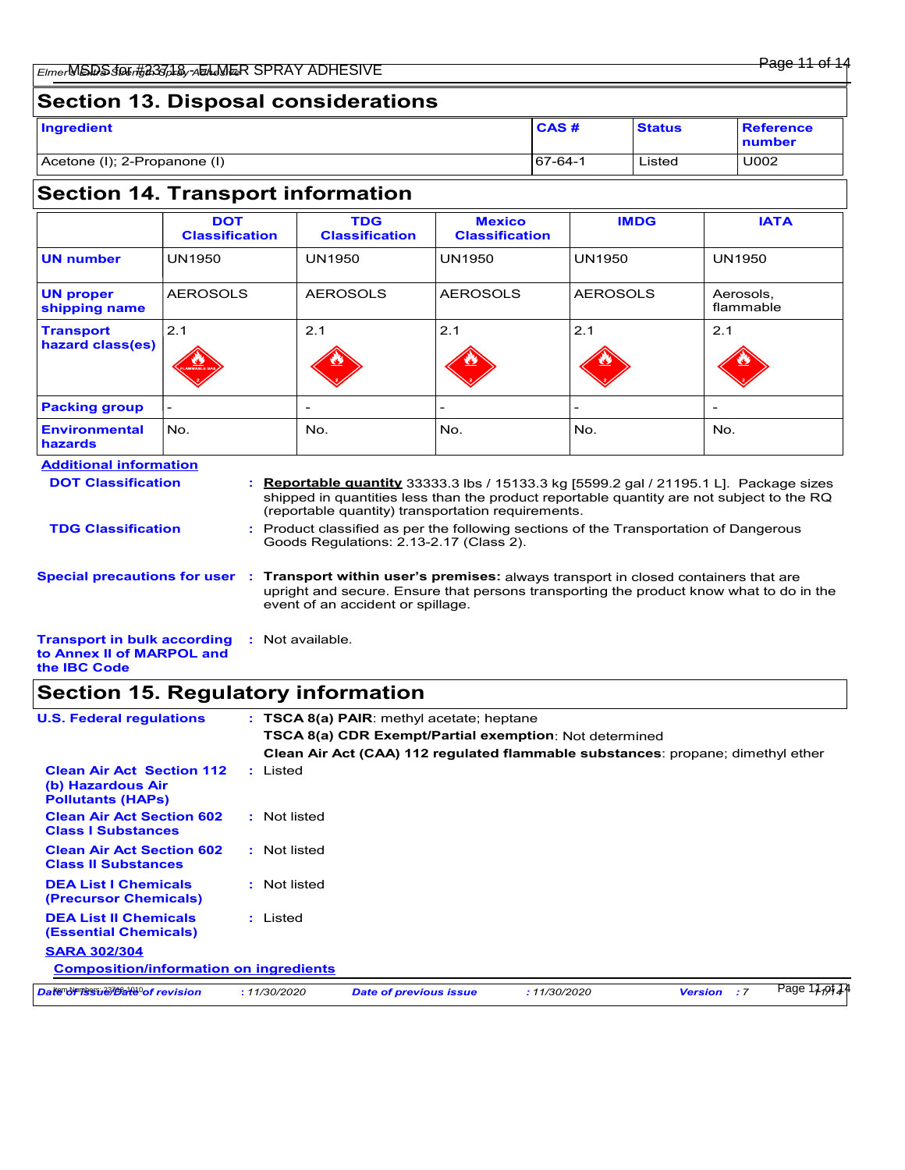| Ingredient                   | CAS#    | <b>Status</b> | <b>Reference</b><br>number |
|------------------------------|---------|---------------|----------------------------|
| Acetone (I); 2-Propanone (I) | 67-64-1 | Listed        | U002                       |

# **Section 14. Transport information**

|                                      | <b>DOT</b><br><b>Classification</b> | <b>TDG</b><br><b>Classification</b> | <b>Mexico</b><br><b>Classification</b> | <b>IMDG</b>              | <b>IATA</b>            |
|--------------------------------------|-------------------------------------|-------------------------------------|----------------------------------------|--------------------------|------------------------|
| UN number                            | <b>UN1950</b>                       | <b>UN1950</b>                       | <b>UN1950</b>                          | <b>UN1950</b>            | <b>UN1950</b>          |
| <b>UN proper</b><br>shipping name    | <b>AEROSOLS</b>                     | <b>AEROSOLS</b>                     | <b>AEROSOLS</b>                        | <b>AEROSOLS</b>          | Aerosols,<br>flammable |
| <b>Transport</b><br>hazard class(es) | 2.1<br>FLAMMABLE GAS                | 2.1                                 | 2.1                                    | 2.1                      | 2.1                    |
| <b>Packing group</b>                 |                                     | $\overline{\phantom{0}}$            | ٠                                      | $\overline{\phantom{a}}$ | $\qquad \qquad$        |
| <b>Environmental</b><br>hazards      | No.                                 | No.                                 | No.                                    | No.                      | No.                    |

| <b>Additional information</b> |  |
|-------------------------------|--|
| <b>DOT Classification</b>     |  |

**TDG Classification**

**Reportable quantity** 33333.3 lbs / 15133.3 kg [5599.2 gal / 21195.1 L]. Package sizes **:** shipped in quantities less than the product reportable quantity are not subject to the RQ (reportable quantity) transportation requirements.

Product classified as per the following sections of the Transportation of Dangerous **:** Goods Regulations: 2.13-2.17 (Class 2).

**Special precautions for user Transport within user's premises:** always transport in closed containers that are **:** upright and secure. Ensure that persons transporting the product know what to do in the event of an accident or spillage.

**Transport in bulk according to Annex II of MARPOL and the IBC Code :** Not available.

# **Section 15. Regulatory information**

| <b>U.S. Federal regulations</b>                                                   |              | $:$ TSCA 8(a) PAIR: methyl acetate; heptane                                     |              |                |     |               |
|-----------------------------------------------------------------------------------|--------------|---------------------------------------------------------------------------------|--------------|----------------|-----|---------------|
|                                                                                   |              | <b>TSCA 8(a) CDR Exempt/Partial exemption</b> : Not determined                  |              |                |     |               |
|                                                                                   |              | Clean Air Act (CAA) 112 regulated flammable substances: propane; dimethyl ether |              |                |     |               |
| <b>Clean Air Act Section 112</b><br>(b) Hazardous Air<br><b>Pollutants (HAPS)</b> | : Listed     |                                                                                 |              |                |     |               |
| <b>Clean Air Act Section 602</b><br><b>Class I Substances</b>                     | : Not listed |                                                                                 |              |                |     |               |
| <b>Clean Air Act Section 602</b><br><b>Class II Substances</b>                    | : Not listed |                                                                                 |              |                |     |               |
| <b>DEA List I Chemicals</b><br>(Precursor Chemicals)                              | : Not listed |                                                                                 |              |                |     |               |
| <b>DEA List II Chemicals</b><br><b>(Essential Chemicals)</b>                      | : Listed     |                                                                                 |              |                |     |               |
| <b>SARA 302/304</b>                                                               |              |                                                                                 |              |                |     |               |
| <b>Composition/information on ingredients</b>                                     |              |                                                                                 |              |                |     |               |
| Date of revision                                                                  | : 11/30/2020 | <b>Date of previous issue</b>                                                   | : 11/30/2020 | <b>Version</b> | : 7 | Page $11,911$ |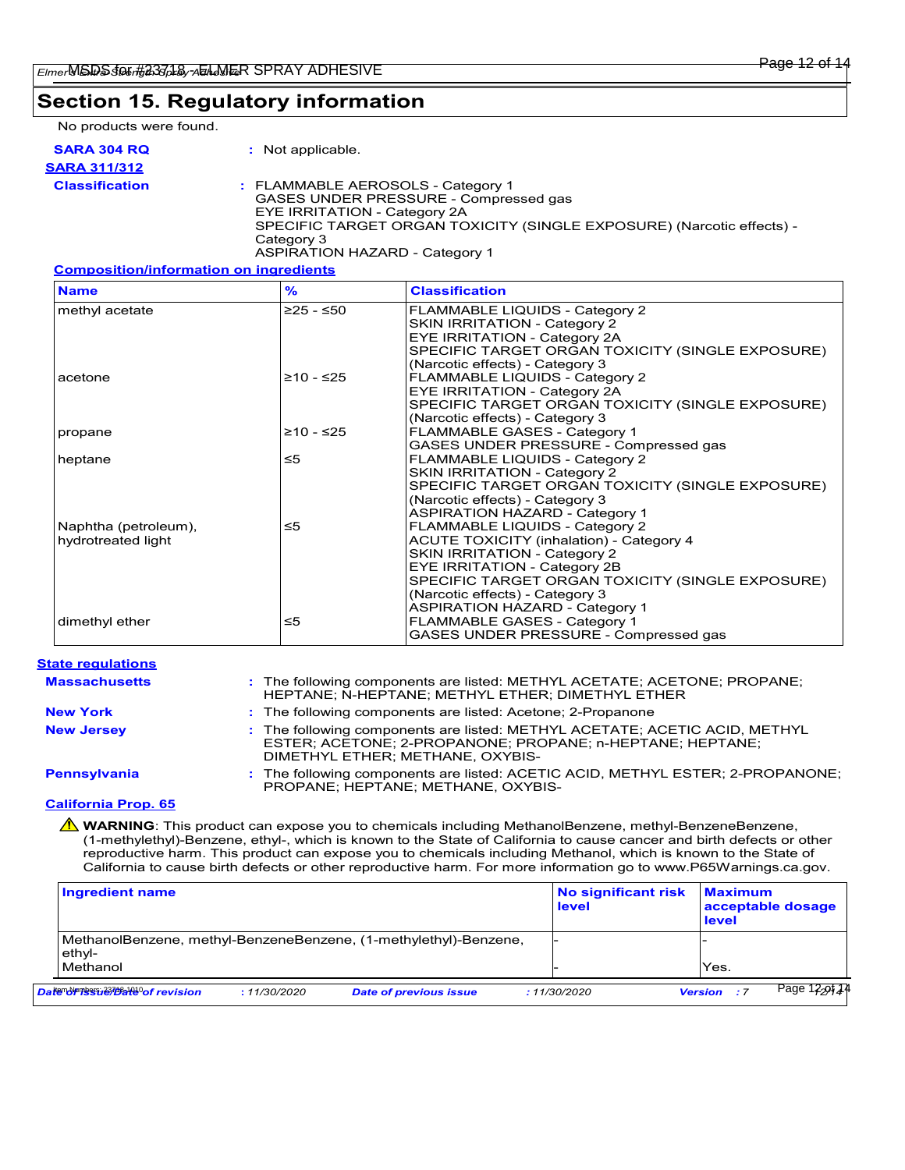## **Section 15. Regulatory information**

No products were found.

| SARA 304 RQ           | : Not applicable.                                                                                                                                                                                 |
|-----------------------|---------------------------------------------------------------------------------------------------------------------------------------------------------------------------------------------------|
| <b>SARA 311/312</b>   |                                                                                                                                                                                                   |
| <b>Classification</b> | : FLAMMABLE AEROSOLS - Category 1<br>GASES UNDER PRESSURE - Compressed gas<br>EYE IRRITATION - Category 2A<br>SPECIFIC TARGET ORGAN TOXICITY (SINGLE EXPOSURE) (Narcotic effects) -<br>Category 3 |

ASPIRATION HAZARD - Category 1

#### **Composition/information on ingredients**

| <b>Name</b>          | $\frac{9}{6}$ | <b>Classification</b>                            |
|----------------------|---------------|--------------------------------------------------|
| methyl acetate       | $≥25 - ≤50$   | FLAMMABLE LIQUIDS - Category 2                   |
|                      |               | SKIN IRRITATION - Category 2                     |
|                      |               | <b>EYE IRRITATION - Category 2A</b>              |
|                      |               | SPECIFIC TARGET ORGAN TOXICITY (SINGLE EXPOSURE) |
|                      |               | (Narcotic effects) - Category 3                  |
| acetone              | ≥10 - ≤25     | FLAMMABLE LIQUIDS - Category 2                   |
|                      |               | <b>EYE IRRITATION - Category 2A</b>              |
|                      |               | SPECIFIC TARGET ORGAN TOXICITY (SINGLE EXPOSURE) |
|                      |               | (Narcotic effects) - Category 3                  |
| propane              | ≥10 - ≤25     | <b>FLAMMABLE GASES - Category 1</b>              |
|                      |               | GASES UNDER PRESSURE - Compressed gas            |
| heptane              | ≤5            | FLAMMABLE LIQUIDS - Category 2                   |
|                      |               | <b>SKIN IRRITATION - Category 2</b>              |
|                      |               | SPECIFIC TARGET ORGAN TOXICITY (SINGLE EXPOSURE) |
|                      |               | (Narcotic effects) - Category 3                  |
|                      |               | <b>ASPIRATION HAZARD - Category 1</b>            |
| Naphtha (petroleum), | ≤5            | FLAMMABLE LIQUIDS - Category 2                   |
| hydrotreated light   |               | <b>ACUTE TOXICITY (inhalation) - Category 4</b>  |
|                      |               | SKIN IRRITATION - Category 2                     |
|                      |               | EYE IRRITATION - Category 2B                     |
|                      |               | SPECIFIC TARGET ORGAN TOXICITY (SINGLE EXPOSURE) |
|                      |               | (Narcotic effects) - Category 3                  |
|                      |               | <b>ASPIRATION HAZARD - Category 1</b>            |
| dimethyl ether       | ≤5            | FLAMMABLE GASES - Category 1                     |
|                      |               | GASES UNDER PRESSURE - Compressed gas            |

#### : The following components are listed: METHYL ACETATE; ACETONE; PROPANE; HEPTANE; N-HEPTANE; METHYL ETHER; DIMETHYL ETHER **Massachusetts : California Prop. 65 New York :** The following components are listed: Acetone; 2-Propanone **New Jersey :** The following components are listed: METHYL ACETATE; ACETIC ACID, METHYL ESTER; ACETONE; 2-PROPANONE; PROPANE; n-HEPTANE; HEPTANE; DIMETHYL ETHER; METHANE, OXYBIS-**Pennsylvania :** The following components are listed: ACETIC ACID, METHYL ESTER; 2-PROPANONE; PROPANE; HEPTANE; METHANE, OXYBIS-**State regulations**

**A WARNING**: This product can expose you to chemicals including MethanolBenzene, methyl-BenzeneBenzene, (1-methylethyl)-Benzene, ethyl-, which is known to the State of California to cause cancer and birth defects or other reproductive harm. This product can expose you to chemicals including Methanol, which is known to the State of California to cause birth defects or other reproductive harm. For more information go to www.P65Warnings.ca.gov.

| Ingredient name                             |              |                                                                  | No significant risk<br>level | <b>Maximum</b><br>acceptable dosage<br><b>level</b> |
|---------------------------------------------|--------------|------------------------------------------------------------------|------------------------------|-----------------------------------------------------|
| ethyl-                                      |              | MethanolBenzene, methyl-BenzeneBenzene, (1-methylethyl)-Benzene, |                              |                                                     |
| Methanol                                    |              |                                                                  |                              | Yes.                                                |
| Date <del>Nๆ Issa 270a18</del> ºof revision | : 11/30/2020 | <b>Date of previous issue</b>                                    | : 11/30/2020                 | Page 12-0124<br><b>Version</b> : 7                  |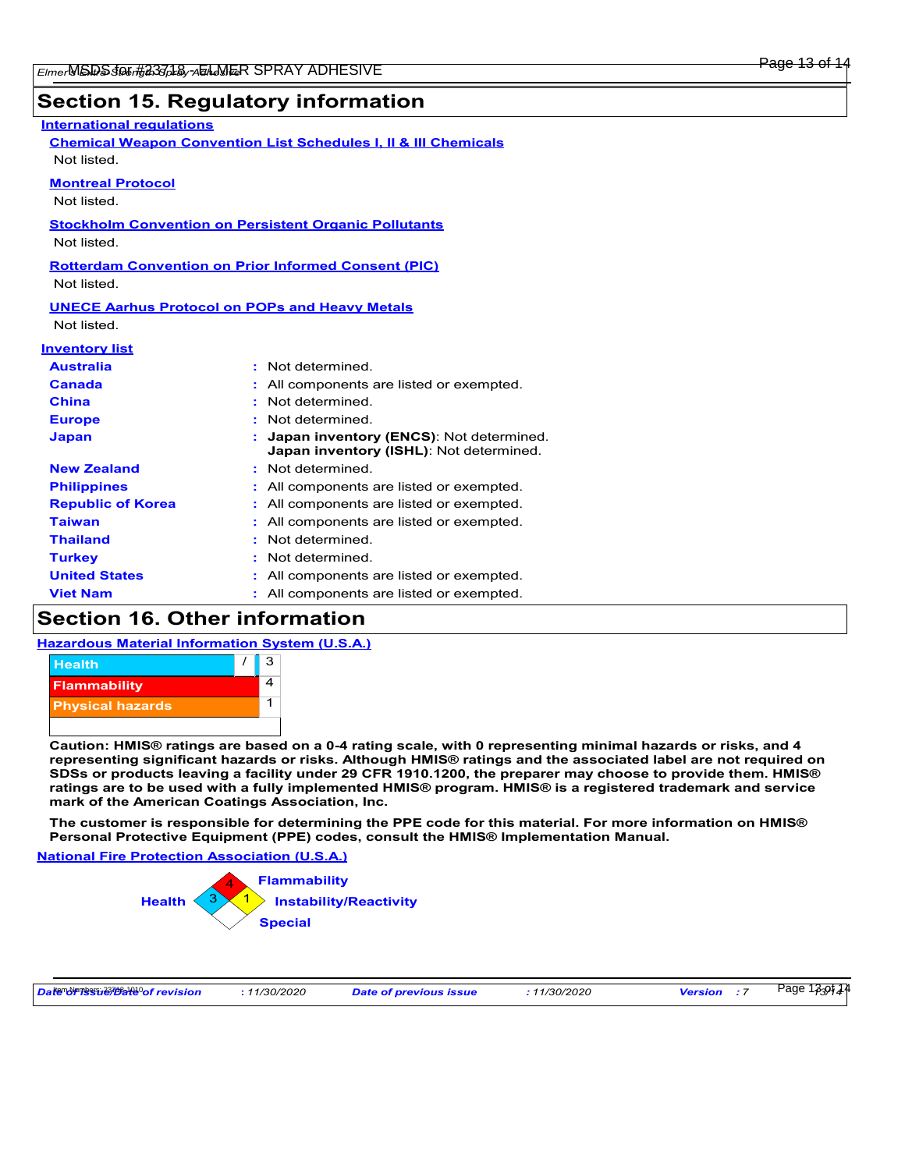# **Section 15. Regulatory information**

| <b>International requlations</b>                      |                                                                            |
|-------------------------------------------------------|----------------------------------------------------------------------------|
|                                                       | <b>Chemical Weapon Convention List Schedules I, II &amp; III Chemicals</b> |
| Not listed.                                           |                                                                            |
| <b>Montreal Protocol</b>                              |                                                                            |
| Not listed.                                           |                                                                            |
|                                                       | <b>Stockholm Convention on Persistent Organic Pollutants</b>               |
| Not listed.                                           |                                                                            |
|                                                       | <b>Rotterdam Convention on Prior Informed Consent (PIC)</b>                |
| Not listed.                                           |                                                                            |
|                                                       |                                                                            |
| <b>UNECE Aarhus Protocol on POPs and Heavy Metals</b> |                                                                            |
| Not listed.                                           |                                                                            |
| <b>Inventory list</b>                                 |                                                                            |
| <b>Australia</b>                                      | Not determined.                                                            |
| Canada                                                | : All components are listed or exempted.                                   |
| <b>China</b>                                          | Not determined.                                                            |
| <b>Europe</b>                                         | Not determined.                                                            |
| Japan                                                 | Japan inventory (ENCS): Not determined.                                    |
|                                                       | Japan inventory (ISHL): Not determined.                                    |
| <b>New Zealand</b>                                    | : Not determined.                                                          |
| <b>Philippines</b>                                    | : All components are listed or exempted.                                   |
| <b>Republic of Korea</b>                              | : All components are listed or exempted.                                   |
| <b>Taiwan</b>                                         | All components are listed or exempted.                                     |
| <b>Thailand</b>                                       | Not determined.                                                            |
| <b>Turkey</b>                                         | Not determined.                                                            |
| <b>United States</b>                                  | : All components are listed or exempted.                                   |

# **Section 16. Other information**

#### **Hazardous Material Information System (U.S.A.)**



**Caution: HMIS® ratings are based on a 0-4 rating scale, with 0 representing minimal hazards or risks, and 4 representing significant hazards or risks. Although HMIS® ratings and the associated label are not required on SDSs or products leaving a facility under 29 CFR 1910.1200, the preparer may choose to provide them. HMIS® ratings are to be used with a fully implemented HMIS® program. HMIS® is a registered trademark and service mark of the American Coatings Association, Inc.**

**The customer is responsible for determining the PPE code for this material. For more information on HMIS® Personal Protective Equipment (PPE) codes, consult the HMIS® Implementation Manual.**

**National Fire Protection Association (U.S.A.)**



**Viet Nam :** All components are listed or exempted.

| Date of revision<br>11/30/2020 | <b>Date of previous issue</b> | <i>11/30/2020</i> | <b>Version</b> | Page 1339144 |
|--------------------------------|-------------------------------|-------------------|----------------|--------------|
|--------------------------------|-------------------------------|-------------------|----------------|--------------|